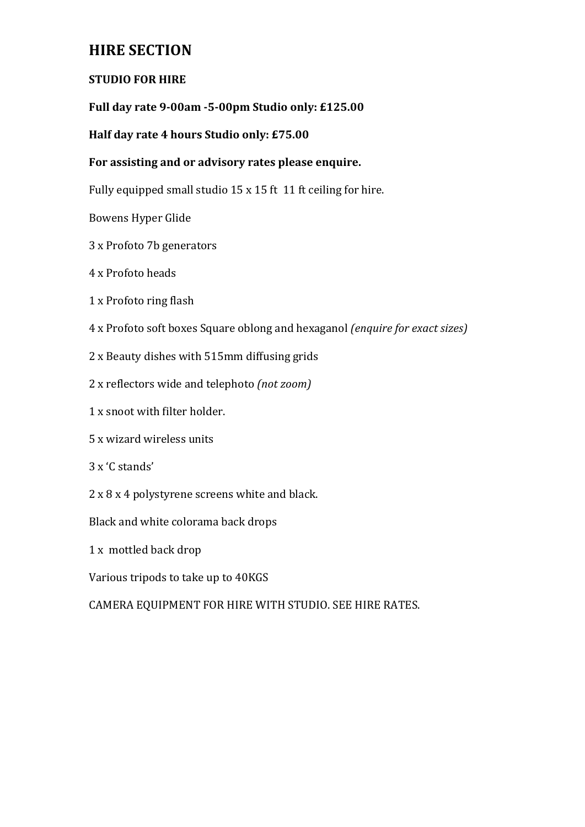# **HIRE SECTION**

# **STUDIO FOR HIRE**

# Full day rate 9-00am -5-00pm Studio only: £125.00

# **Half day rate 4 hours Studio only: £75.00**

# For assisting and or advisory rates please enquire.

Fully equipped small studio  $15 \times 15$  ft  $11$  ft ceiling for hire.

Bowens Hyper Glide

- 3 x Profoto 7b generators
- 4 x Profoto heads
- 1 x Profoto ring flash
- 4 x Profoto soft boxes Square oblong and hexaganol *(enquire for exact sizes)*
- 2 x Beauty dishes with 515mm diffusing grids
- 2 x reflectors wide and telephoto *(not zoom)*
- 1 x snoot with filter holder.
- 5 x wizard wireless units
- 3 x 'C stands'
- 2 x 8 x 4 polystyrene screens white and black.

Black and white colorama back drops

1 x mottled back drop

Various tripods to take up to 40KGS

CAMERA EQUIPMENT FOR HIRE WITH STUDIO. SEE HIRE RATES.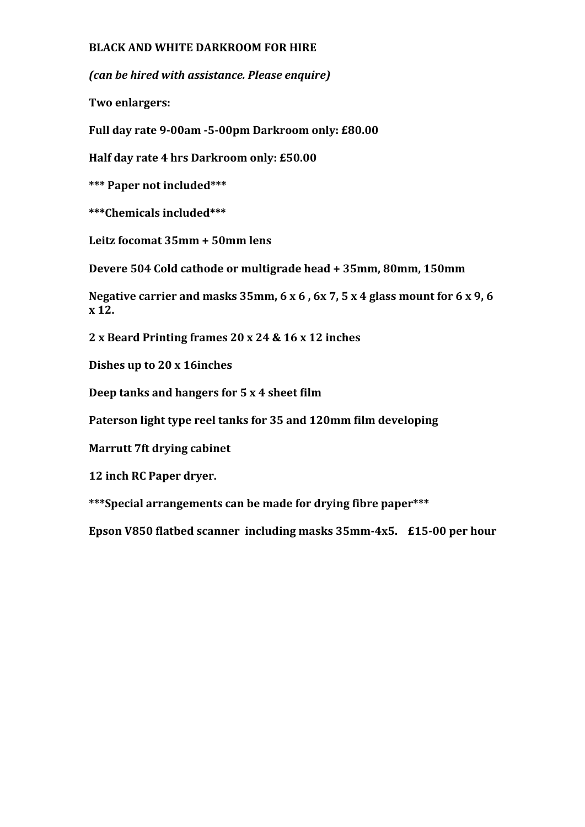## **BLACK AND WHITE DARKROOM FOR HIRE**

*(can be hired with assistance. Please enquire)*

**Two enlargers:**

Full day rate 9-00am -5-00pm Darkroom only: £80.00

**Half day rate 4 hrs Darkroom only: £50.00** 

**\*\*\* Paper not included\*\*\***

**\*\*\*Chemicals included\*\*\***

Leitz focomat 35mm + 50mm lens

Devere 504 Cold cathode or multigrade head + 35mm, 80mm, 150mm

Negative carrier and masks  $35$ mm,  $6 \times 6$ ,  $6 \times 7$ ,  $5 \times 4$  glass mount for  $6 \times 9$ ,  $6$ **x 12.**

**2 x Beard Printing frames 20 x 24 & 16 x 12 inches**

**Dishes up to 20 x 16inches** 

**Deep tanks and hangers for 5 x 4 sheet film** 

Paterson light type reel tanks for 35 and 120mm film developing

**Marrutt 7ft drying cabinet** 

**12 inch RC Paper dryer.**

\*\*\*Special arrangements can be made for drying fibre paper\*\*\*

**Epson V850 flatbed scanner including masks 35mm-4x5. £15-00 per hour**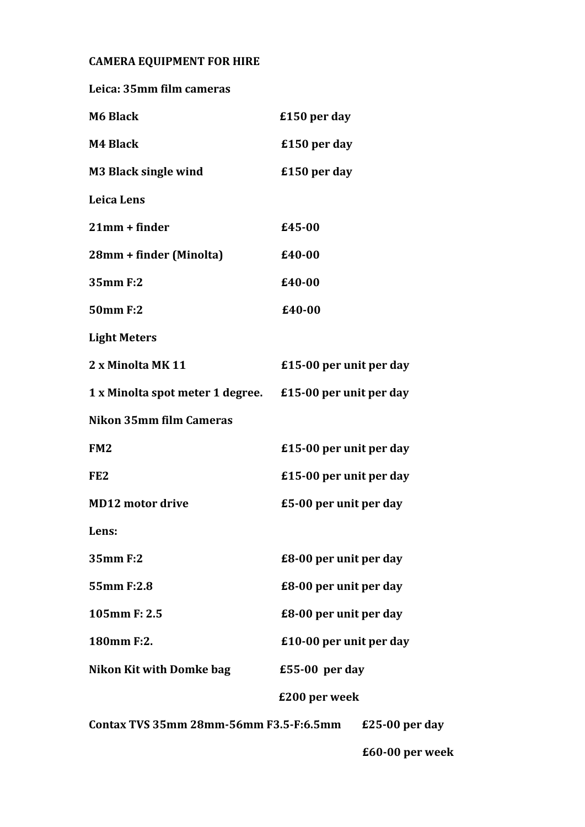# **CAMERA EQUIPMENT FOR HIRE**

| Leica: 35mm film cameras                                   |                         |                 |
|------------------------------------------------------------|-------------------------|-----------------|
| <b>M6 Black</b>                                            | £150 per day            |                 |
| M4 Black                                                   | £150 per day            |                 |
| <b>M3 Black single wind</b>                                | £150 per day            |                 |
| <b>Leica Lens</b>                                          |                         |                 |
| $21mm + finder$                                            | £45-00                  |                 |
| 28mm + finder (Minolta)                                    | £40-00                  |                 |
| 35mm F:2                                                   | £40-00                  |                 |
| 50mm F:2                                                   | £40-00                  |                 |
| <b>Light Meters</b>                                        |                         |                 |
| 2 x Minolta MK 11                                          | £15-00 per unit per day |                 |
| 1 x Minolta spot meter 1 degree. £15-00 per unit per day   |                         |                 |
| Nikon 35mm film Cameras                                    |                         |                 |
| FM <sub>2</sub>                                            | £15-00 per unit per day |                 |
| FE <sub>2</sub>                                            | £15-00 per unit per day |                 |
| <b>MD12 motor drive</b>                                    | £5-00 per unit per day  |                 |
| Lens:                                                      |                         |                 |
| 35mm F:2                                                   | £8-00 per unit per day  |                 |
| 55mm F:2.8                                                 | £8-00 per unit per day  |                 |
| 105mm F: 2.5                                               | £8-00 per unit per day  |                 |
| 180mm F:2.                                                 | £10-00 per unit per day |                 |
| <b>Nikon Kit with Domke bag</b>                            | $£55-00$ per day        |                 |
| £200 per week                                              |                         |                 |
| Contax TVS 35mm 28mm-56mm F3.5-F:6.5mm<br>$£25-00$ per day |                         |                 |
|                                                            |                         | £60-00 per week |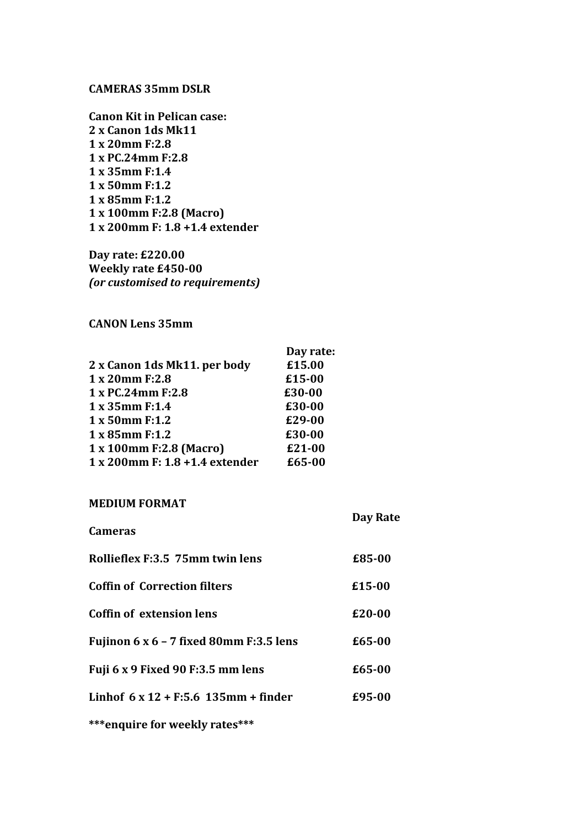#### **CAMERAS 35mm DSLR**

**Canon Kit in Pelican case: 2 x Canon 1ds Mk11 1 x 20mm F:2.8 1 x PC.24mm F:2.8 1 x 35mm F:1.4 1 x 50mm F:1.2 1 x 85mm F:1.2 1 x 100mm F:2.8 (Macro) 1 x 200mm F: 1.8 +1.4 extender** 

**Day rate: £220.00 Weekly rate £450-00** *(or customised to requirements)*

### **CANON Lens 35mm**

| Day rate: |
|-----------|
| £15.00    |
| £15-00    |
| £30-00    |
| £30-00    |
| £29-00    |
| £30-00    |
| £21-00    |
| £65-00    |
|           |

#### **MEDIUM FORMAT**

|                                                | Day Rate |
|------------------------------------------------|----------|
| <b>Cameras</b>                                 |          |
| Rollieflex F:3.5 75mm twin lens                | £85-00   |
| <b>Coffin of Correction filters</b>            | £15-00   |
| Coffin of extension lens                       | £20-00   |
| Fujinon $6 \times 6 - 7$ fixed 80mm F:3.5 lens | £65-00   |
| Fuji 6 x 9 Fixed 90 F:3.5 mm lens              | £65-00   |
| Linhof $6 \times 12 + F:5.6$ 135mm + finder    | £95-00   |
| ***enquire for weekly rates***                 |          |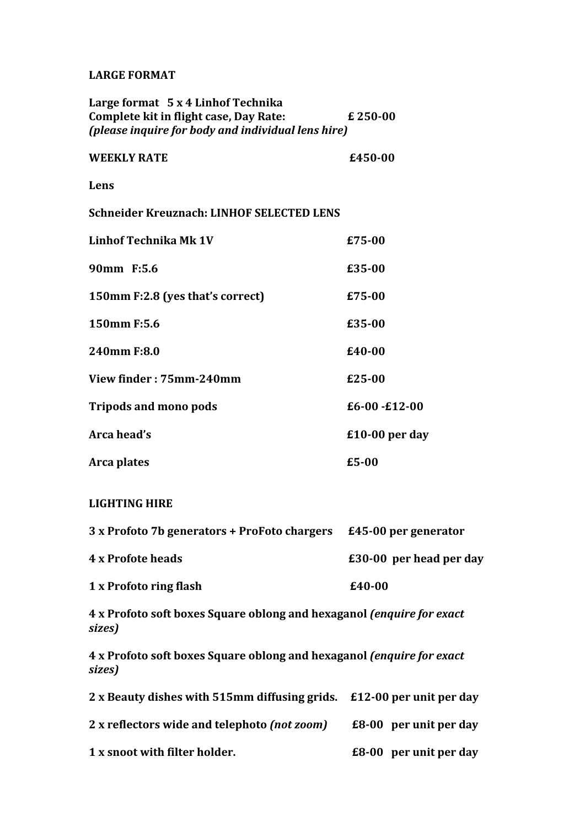#### **LARGE FORMAT**

| Large format 5 x 4 Linhof Technika<br>Complete kit in flight case, Day Rate:<br>(please inquire for body and individual lens hire) | £250-00                 |
|------------------------------------------------------------------------------------------------------------------------------------|-------------------------|
| <b>WEEKLY RATE</b>                                                                                                                 | £450-00                 |
| Lens                                                                                                                               |                         |
| <b>Schneider Kreuznach: LINHOF SELECTED LENS</b>                                                                                   |                         |
| <b>Linhof Technika Mk 1V</b>                                                                                                       | £75-00                  |
| 90mm F:5.6                                                                                                                         | £35-00                  |
| 150mm F:2.8 (yes that's correct)                                                                                                   | £75-00                  |
| 150mm F:5.6                                                                                                                        | £35-00                  |
| 240mm F:8.0                                                                                                                        | £40-00                  |
| View finder: 75mm-240mm                                                                                                            | £25-00                  |
| <b>Tripods and mono pods</b>                                                                                                       | $£6-00 - £12-00$        |
| Arca head's                                                                                                                        | £10-00 per day          |
| Arca plates                                                                                                                        | $£5-00$                 |
| <b>LIGHTING HIRE</b>                                                                                                               |                         |
| 3 x Profoto 7b generators + ProFoto chargers £45-00 per generator                                                                  |                         |
| <b>4 x Profote heads</b>                                                                                                           | £30-00 per head per day |
| 1 x Profoto ring flash                                                                                                             | £40-00                  |

**4** x Profoto soft boxes Square oblong and hexaganol (enquire for exact *sizes)*

**4** x Profoto soft boxes Square oblong and hexaganol (enquire for exact *sizes)*

| 2 x Beauty dishes with 515mm diffusing grids. £12-00 per unit per day |                               |
|-----------------------------------------------------------------------|-------------------------------|
| 2 x reflectors wide and telephoto (not zoom)                          | <b>£8-00</b> per unit per day |
| 1 x snoot with filter holder.                                         | £8-00 per unit per day        |